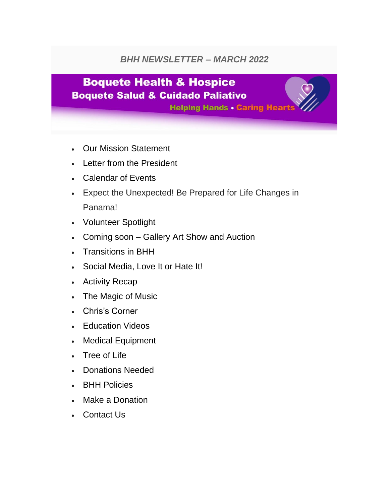#### *BHH NEWSLETTER – MARCH 2022*

## **Boquete Health & Hospice Boquete Salud & Cuidado Paliativo**

**Helping Hands . Caring Hearts** 

- Our Mission Statement
- Letter from the President
- Calendar of Events
- Expect the Unexpected! Be Prepared for Life Changes in Panama!
- Volunteer Spotlight
- Coming soon Gallery Art Show and Auction
- Transitions in BHH
- Social Media, Love It or Hate It!
- Activity Recap
- The Magic of Music
- Chris's Corner
- Education Videos
- Medical Equipment
- Tree of Life
- Donations Needed
- BHH Policies
- Make a Donation
- Contact Us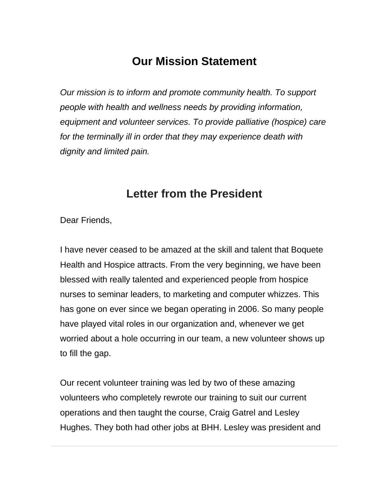### **Our Mission Statement**

*Our mission is to inform and promote community health. To support people with health and wellness needs by providing information, equipment and volunteer services. To provide palliative (hospice) care for the terminally ill in order that they may experience death with dignity and limited pain.*

#### **Letter from the President**

Dear Friends,

I have never ceased to be amazed at the skill and talent that Boquete Health and Hospice attracts. From the very beginning, we have been blessed with really talented and experienced people from hospice nurses to seminar leaders, to marketing and computer whizzes. This has gone on ever since we began operating in 2006. So many people have played vital roles in our organization and, whenever we get worried about a hole occurring in our team, a new volunteer shows up to fill the gap.

Our recent volunteer training was led by two of these amazing volunteers who completely rewrote our training to suit our current operations and then taught the course, Craig Gatrel and Lesley Hughes. They both had other jobs at BHH. Lesley was president and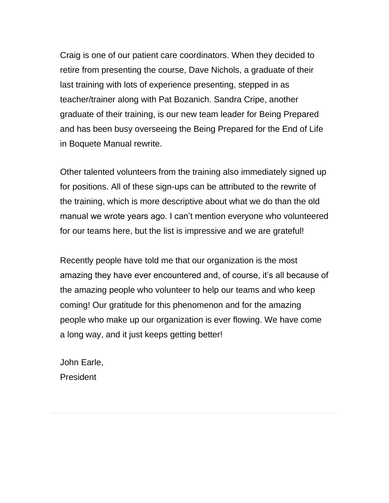Craig is one of our patient care coordinators. When they decided to retire from presenting the course, Dave Nichols, a graduate of their last training with lots of experience presenting, stepped in as teacher/trainer along with Pat Bozanich. Sandra Cripe, another graduate of their training, is our new team leader for Being Prepared and has been busy overseeing the Being Prepared for the End of Life in Boquete Manual rewrite.

Other talented volunteers from the training also immediately signed up for positions. All of these sign-ups can be attributed to the rewrite of the training, which is more descriptive about what we do than the old manual we wrote years ago. I can't mention everyone who volunteered for our teams here, but the list is impressive and we are grateful!

Recently people have told me that our organization is the most amazing they have ever encountered and, of course, it's all because of the amazing people who volunteer to help our teams and who keep coming! Our gratitude for this phenomenon and for the amazing people who make up our organization is ever flowing. We have come a long way, and it just keeps getting better!

John Earle, President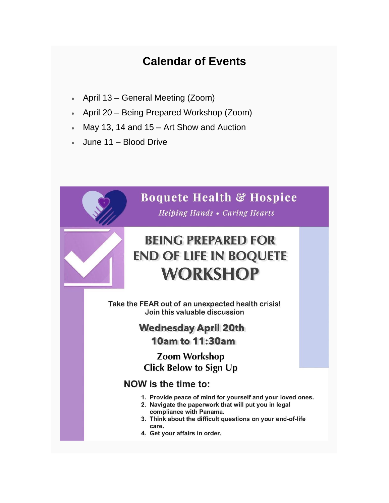## **Calendar of Events**

- April 13 General Meeting (Zoom)
- April 20 Being Prepared Workshop (Zoom)
- May 13, 14 and  $15 -$  Art Show and Auction
- June 11 Blood Drive

#### **Boquete Health & Hospice**

**Helping Hands • Caring Hearts** 

# **BEING PREPARED FOR END OF LIFE IN BOQUETE WORKSHOP**

Take the FEAR out of an unexpected health crisis! Join this valuable discussion

#### **Wednesday April 20th**

**10am to 11:30am** 

**Zoom Workshop Click Below to Sign Up** 

#### NOW is the time to:

- 1. Provide peace of mind for yourself and your loved ones.
- 2. Navigate the paperwork that will put you in legal compliance with Panama.
- 3. Think about the difficult questions on your end-of-life care.
- 4. Get your affairs in order.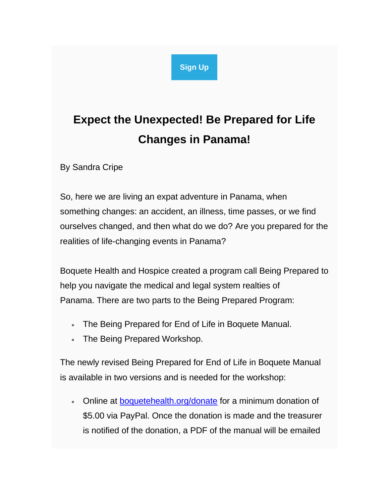#### **[Sign Up](https://boquetehealth.us19.list-manage.com/track/click?u=9f62b17aada89a5b2db2026b4&id=3ca1e157b8&e=756e4d2fc8)**

# **Expect the Unexpected! Be Prepared for Life Changes in Panama!**

By Sandra Cripe

So, here we are living an expat adventure in Panama, when something changes: an accident, an illness, time passes, or we find ourselves changed, and then what do we do? Are you prepared for the realities of life-changing events in Panama?

Boquete Health and Hospice created a program call Being Prepared to help you navigate the medical and legal system realties of Panama. There are two parts to the Being Prepared Program:

- The Being Prepared for End of Life in Boquete Manual.
- The Being Prepared Workshop.

The newly revised Being Prepared for End of Life in Boquete Manual is available in two versions and is needed for the workshop:

• Online at [boquetehealth.org/donate](https://boquetehealth.us19.list-manage.com/track/click?u=9f62b17aada89a5b2db2026b4&id=f9286c9070&e=756e4d2fc8) for a minimum donation of \$5.00 via PayPal. Once the donation is made and the treasurer is notified of the donation, a PDF of the manual will be emailed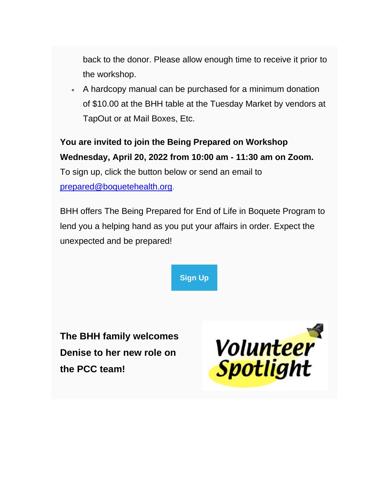back to the donor. Please allow enough time to receive it prior to the workshop.

• A hardcopy manual can be purchased for a minimum donation of \$10.00 at the BHH table at the Tuesday Market by vendors at TapOut or at Mail Boxes, Etc.

#### **You are invited to join the Being Prepared on Workshop Wednesday, April 20, 2022 from 10:00 am - 11:30 am on Zoom.**

To sign up, click the button below or send an email to [prepared@boquetehealth.org.](mailto:prepared@boquetehealth.org?subject=Sign%20Me%20Up%20for%20April%2021%20Being%20Prepared)

BHH offers The Being Prepared for End of Life in Boquete Program to lend you a helping hand as you put your affairs in order. Expect the unexpected and be prepared!

**[Sign Up](https://boquetehealth.us19.list-manage.com/track/click?u=9f62b17aada89a5b2db2026b4&id=ef7514eaea&e=756e4d2fc8)**

**The BHH family welcomes Denise to her new role on the PCC team!**

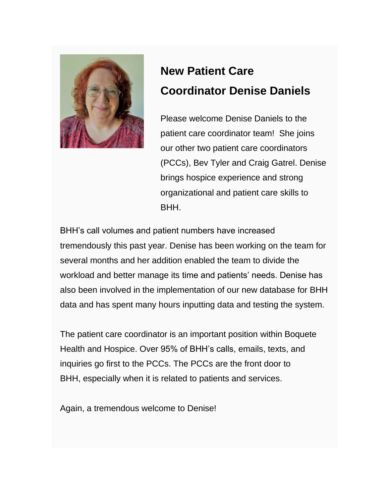

# **New Patient Care Coordinator Denise Daniels**

Please welcome Denise Daniels to the patient care coordinator team! She joins our other two patient care coordinators (PCCs), Bev Tyler and Craig Gatrel. Denise brings hospice experience and strong organizational and patient care skills to BHH.

BHH's call volumes and patient numbers have increased tremendously this past year. Denise has been working on the team for several months and her addition enabled the team to divide the workload and better manage its time and patients' needs. Denise has also been involved in the implementation of our new database for BHH data and has spent many hours inputting data and testing the system.

The patient care coordinator is an important position within Boquete Health and Hospice. Over 95% of BHH's calls, emails, texts, and inquiries go first to the PCCs. The PCCs are the front door to BHH, especially when it is related to patients and services.

Again, a tremendous welcome to Denise!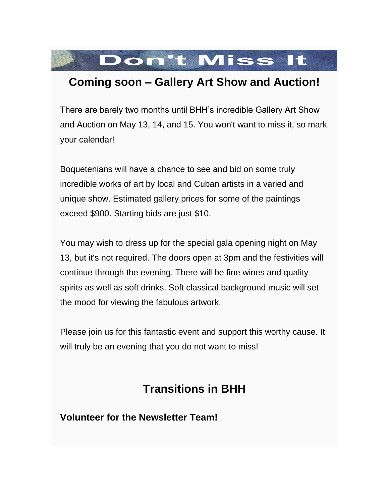

#### **Coming soon – Gallery Art Show and Auction!**

There are barely two months until BHH's incredible Gallery Art Show and Auction on May 13, 14, and 15. You won't want to miss it, so mark your calendar!

Boquetenians will have a chance to see and bid on some truly incredible works of art by local and Cuban artists in a varied and unique show. Estimated gallery prices for some of the paintings exceed \$900. Starting bids are just \$10.

You may wish to dress up for the special gala opening night on May 13, but it's not required. The doors open at 3pm and the festivities will continue through the evening. There will be fine wines and quality spirits as well as soft drinks. Soft classical background music will set the mood for viewing the fabulous artwork.

Please join us for this fantastic event and support this worthy cause. It will truly be an evening that you do not want to miss!

## **Transitions in BHH**

**Volunteer for the Newsletter Team!**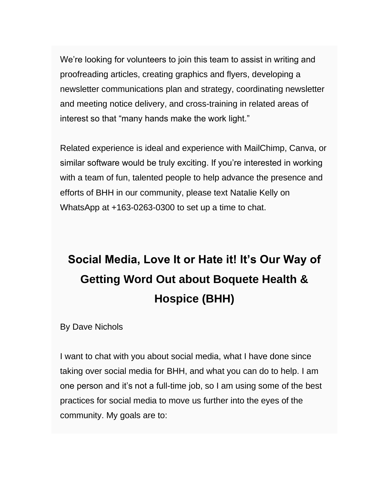We're looking for volunteers to join this team to assist in writing and proofreading articles, creating graphics and flyers, developing a newsletter communications plan and strategy, coordinating newsletter and meeting notice delivery, and cross-training in related areas of interest so that "many hands make the work light."

Related experience is ideal and experience with MailChimp, Canva, or similar software would be truly exciting. If you're interested in working with a team of fun, talented people to help advance the presence and efforts of BHH in our community, please text Natalie Kelly on WhatsApp at +163-0263-0300 to set up a time to chat.

# **Social Media, Love It or Hate it! It's Our Way of Getting Word Out about Boquete Health & Hospice (BHH)**

By Dave Nichols

I want to chat with you about social media, what I have done since taking over social media for BHH, and what you can do to help. I am one person and it's not a full-time job, so I am using some of the best practices for social media to move us further into the eyes of the community. My goals are to: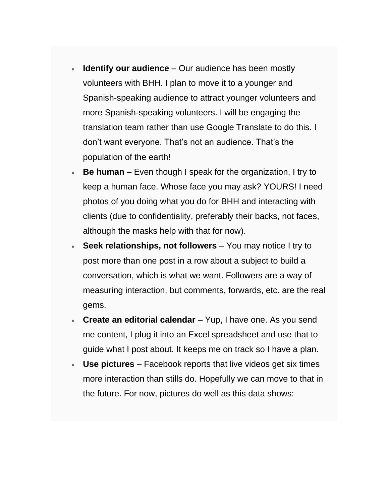- **Identify our audience** Our audience has been mostly volunteers with BHH. I plan to move it to a younger and Spanish-speaking audience to attract younger volunteers and more Spanish-speaking volunteers. I will be engaging the translation team rather than use Google Translate to do this. I don't want everyone. That's not an audience. That's the population of the earth!
- **Be human**  Even though I speak for the organization, I try to keep a human face. Whose face you may ask? YOURS! I need photos of you doing what you do for BHH and interacting with clients (due to confidentiality, preferably their backs, not faces, although the masks help with that for now).
- **Seek relationships, not followers** You may notice I try to post more than one post in a row about a subject to build a conversation, which is what we want. Followers are a way of measuring interaction, but comments, forwards, etc. are the real gems.
- **Create an editorial calendar**  Yup, I have one. As you send me content, I plug it into an Excel spreadsheet and use that to guide what I post about. It keeps me on track so I have a plan.
- **Use pictures** Facebook reports that live videos get six times more interaction than stills do. Hopefully we can move to that in the future. For now, pictures do well as this data shows: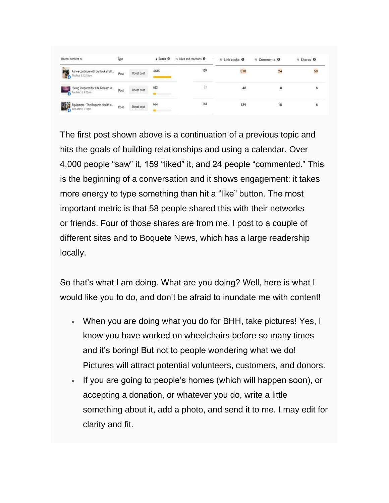| Recent content 14                                         | Type |            | $+$ Reach $\theta$ | 14 Likes and reactions <sup>O</sup> | 14 Link clicks <sup>O</sup> | 14 Comments <b>O</b> | 14 Shares O |
|-----------------------------------------------------------|------|------------|--------------------|-------------------------------------|-----------------------------|----------------------|-------------|
| As we continue with our look at all<br>Thu Mar 3, 12:18pm | Post | Boost post | 4,645              | 159                                 | 378                         | 24                   | 58          |
| "Being Prepared for Life & Death in<br>Tue Feb 15, 9:00am | Post | Boost post | 653                | 31                                  | 48                          | 8                    | 6           |
| Equipment - The Boquete Health a.<br>Equipment - The B    | Post | Boost post | 634<br>$\sim$      | 148                                 | 139                         | 18                   | 6           |

The first post shown above is a continuation of a previous topic and hits the goals of building relationships and using a calendar. Over 4,000 people "saw" it, 159 "liked" it, and 24 people "commented." This is the beginning of a conversation and it shows engagement: it takes more energy to type something than hit a "like" button. The most important metric is that 58 people shared this with their networks or friends. Four of those shares are from me. I post to a couple of different sites and to Boquete News, which has a large readership locally.

So that's what I am doing. What are you doing? Well, here is what I would like you to do, and don't be afraid to inundate me with content!

- When you are doing what you do for BHH, take pictures! Yes, I know you have worked on wheelchairs before so many times and it's boring! But not to people wondering what we do! Pictures will attract potential volunteers, customers, and donors.
- If you are going to people's homes (which will happen soon), or accepting a donation, or whatever you do, write a little something about it, add a photo, and send it to me. I may edit for clarity and fit.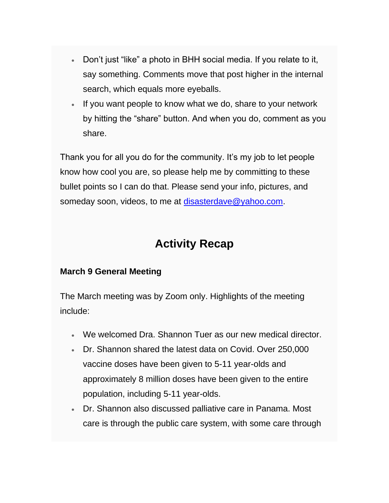- Don't just "like" a photo in BHH social media. If you relate to it, say something. Comments move that post higher in the internal search, which equals more eyeballs.
- If you want people to know what we do, share to your network by hitting the "share" button. And when you do, comment as you share.

Thank you for all you do for the community. It's my job to let people know how cool you are, so please help me by committing to these bullet points so I can do that. Please send your info, pictures, and someday soon, videos, to me at [disasterdave@yahoo.com.](mailto:disasterdave@yahoo.com.)

### **Activity Recap**

#### **March 9 General Meeting**

The March meeting was by Zoom only. Highlights of the meeting include:

- We welcomed Dra. Shannon Tuer as our new medical director.
- Dr. Shannon shared the latest data on Covid. Over 250,000 vaccine doses have been given to 5-11 year-olds and approximately 8 million doses have been given to the entire population, including 5-11 year-olds.
- Dr. Shannon also discussed palliative care in Panama. Most care is through the public care system, with some care through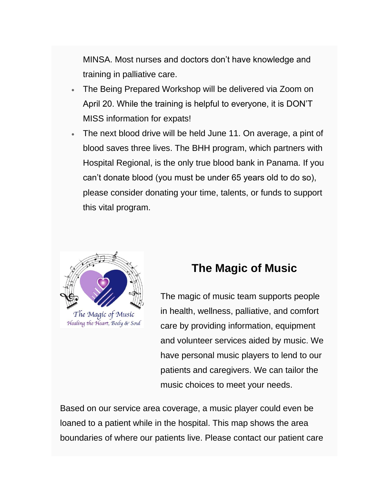MINSA. Most nurses and doctors don't have knowledge and training in palliative care.

- The Being Prepared Workshop will be delivered via Zoom on April 20. While the training is helpful to everyone, it is DON'T MISS information for expats!
- The next blood drive will be held June 11. On average, a pint of blood saves three lives. The BHH program, which partners with Hospital Regional, is the only true blood bank in Panama. If you can't donate blood (you must be under 65 years old to do so), please consider donating your time, talents, or funds to support this vital program.



The Magic of Music Healing the Heart, Body & Soul

#### **The Magic of Music**

The magic of music team supports people in health, wellness, palliative, and comfort care by providing information, equipment and volunteer services aided by music. We have personal music players to lend to our patients and caregivers. We can tailor the music choices to meet your needs.

Based on our service area coverage, a music player could even be loaned to a patient while in the hospital. This map shows the area boundaries of where our patients live. Please contact our patient care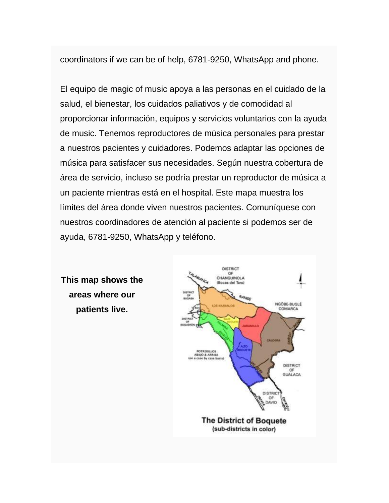coordinators if we can be of help, 6781-9250, WhatsApp and phone.

El equipo de magic of music apoya a las personas en el cuidado de la salud, el bienestar, los cuidados paliativos y de comodidad al proporcionar información, equipos y servicios voluntarios con la ayuda de music. Tenemos reproductores de música personales para prestar a nuestros pacientes y cuidadores. Podemos adaptar las opciones de música para satisfacer sus necesidades. Según nuestra cobertura de área de servicio, incluso se podría prestar un reproductor de música a un paciente mientras está en el hospital. Este mapa muestra los límites del área donde viven nuestros pacientes. Comuníquese con nuestros coordinadores de atención al paciente si podemos ser de ayuda, 6781-9250, WhatsApp y teléfono.



**This map shows the areas where our patients live.**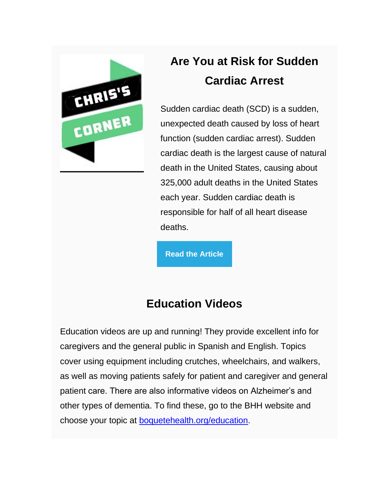

# **Are You at Risk for Sudden Cardiac Arrest**

Sudden cardiac death (SCD) is a sudden, unexpected death caused by loss of heart function (sudden cardiac arrest). Sudden cardiac death is the largest cause of natural death in the United States, causing about 325,000 adult deaths in the United States each year. Sudden cardiac death is responsible for half of all heart disease deaths.

**[Read the Article](https://boquetehealth.us19.list-manage.com/track/click?u=9f62b17aada89a5b2db2026b4&id=0f178ec3fd&e=756e4d2fc8)**

## **Education Videos**

Education videos are up and running! They provide excellent info for caregivers and the general public in Spanish and English. Topics cover using equipment including crutches, wheelchairs, and walkers, as well as moving patients safely for patient and caregiver and general patient care. There are also informative videos on Alzheimer's and other types of dementia. To find these, go to the BHH website and choose your topic at [boquetehealth.org/education.](https://boquetehealth.us19.list-manage.com/track/click?u=9f62b17aada89a5b2db2026b4&id=3021e2a466&e=756e4d2fc8)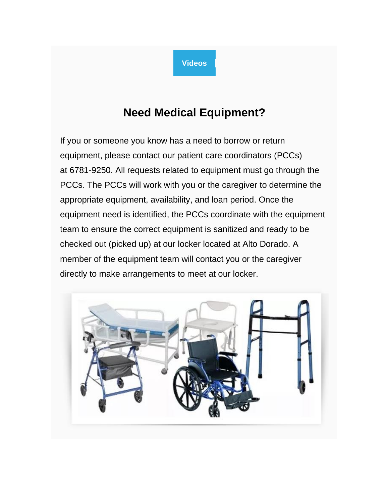

## **Need Medical Equipment?**

If you or someone you know has a need to borrow or return equipment, please contact our patient care coordinators (PCCs) at 6781-9250. All requests related to equipment must go through the PCCs. The PCCs will work with you or the caregiver to determine the appropriate equipment, availability, and loan period. Once the equipment need is identified, the PCCs coordinate with the equipment team to ensure the correct equipment is sanitized and ready to be checked out (picked up) at our locker located at Alto Dorado. A member of the equipment team will contact you or the caregiver directly to make arrangements to meet at our locker.

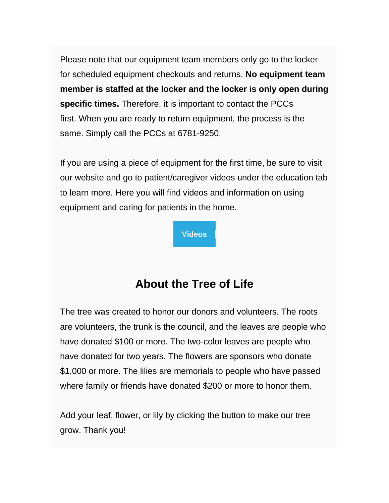Please note that our equipment team members only go to the locker for scheduled equipment checkouts and returns. **No equipment team member is staffed at the locker and the locker is only open during specific times.** Therefore, it is important to contact the PCCs first. When you are ready to return equipment, the process is the same. Simply call the PCCs at 6781-9250.

If you are using a piece of equipment for the first time, be sure to visit our website and go to patient/caregiver videos under the education tab to learn more. Here you will find videos and information on using equipment and caring for patients in the home.

**[Videos](https://boquetehealth.us19.list-manage.com/track/click?u=9f62b17aada89a5b2db2026b4&id=f132825c3b&e=756e4d2fc8)**

## **About the Tree of Life**

The tree was created to honor our donors and volunteers. The roots are volunteers, the trunk is the council, and the leaves are people who have donated \$100 or more. The two-color leaves are people who have donated for two years. The flowers are sponsors who donate \$1,000 or more. The lilies are memorials to people who have passed where family or friends have donated \$200 or more to honor them.

Add your leaf, flower, or lily by clicking the button to make our tree grow. Thank you!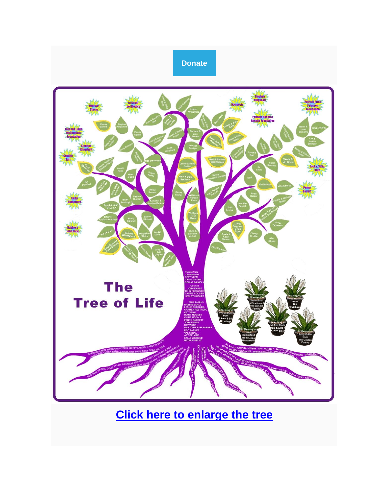

**[Click here to enlarge the tree](https://boquetehealth.us19.list-manage.com/track/click?u=9f62b17aada89a5b2db2026b4&id=271c372e5f&e=756e4d2fc8)**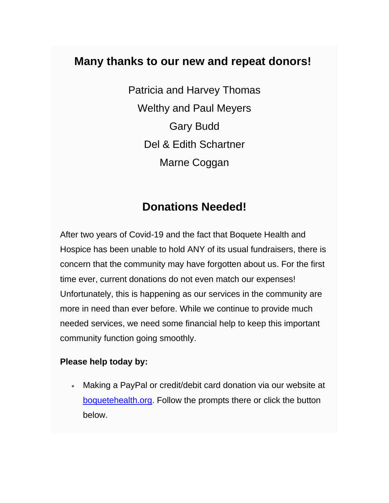#### **Many thanks to our new and repeat donors!**

Patricia and Harvey Thomas Welthy and Paul Meyers Gary Budd Del & Edith Schartner Marne Coggan

#### **Donations Needed!**

After two years of Covid-19 and the fact that Boquete Health and Hospice has been unable to hold ANY of its usual fundraisers, there is concern that the community may have forgotten about us. For the first time ever, current donations do not even match our expenses! Unfortunately, this is happening as our services in the community are more in need than ever before. While we continue to provide much needed services, we need some financial help to keep this important community function going smoothly.

#### **Please help today by:**

• Making a PayPal or credit/debit card donation via our website at [boquetehealth.org.](https://boquetehealth.us19.list-manage.com/track/click?u=9f62b17aada89a5b2db2026b4&id=8dd32993b0&e=756e4d2fc8) Follow the prompts there or click the button below.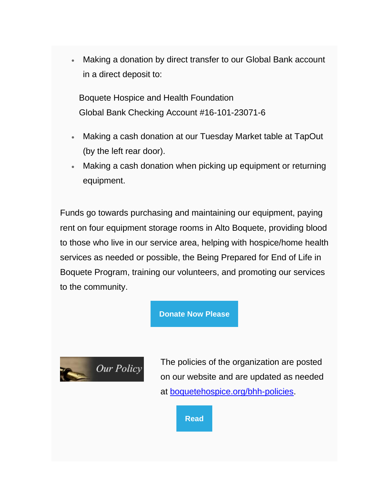• Making a donation by direct transfer to our Global Bank account in a direct deposit to:

Boquete Hospice and Health Foundation Global Bank Checking Account #16-101-23071-6

- Making a cash donation at our Tuesday Market table at TapOut (by the left rear door).
- Making a cash donation when picking up equipment or returning equipment.

Funds go towards purchasing and maintaining our equipment, paying rent on four equipment storage rooms in Alto Boquete, providing blood to those who live in our service area, helping with hospice/home health services as needed or possible, the Being Prepared for End of Life in Boquete Program, training our volunteers, and promoting our services to the community.

#### **[Donate Now Please](https://boquetehealth.us19.list-manage.com/track/click?u=9f62b17aada89a5b2db2026b4&id=2e10cbca00&e=756e4d2fc8)**



The policies of the organization are posted on our website and are updated as needed at [boquetehospice.org/bhh-policies.](https://boquetehealth.us19.list-manage.com/track/click?u=9f62b17aada89a5b2db2026b4&id=82a98a58c8&e=756e4d2fc8)

**[Read](https://boquetehealth.us19.list-manage.com/track/click?u=9f62b17aada89a5b2db2026b4&id=7670cf5660&e=756e4d2fc8)**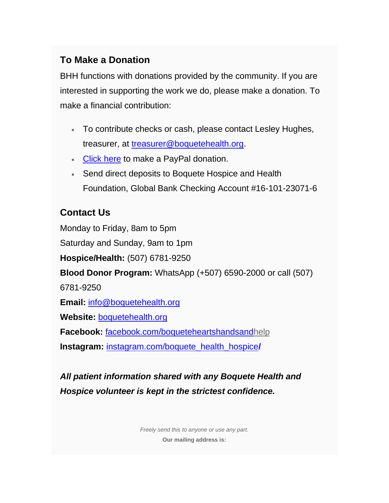#### **To Make a Donation**

BHH functions with donations provided by the community. If you are interested in supporting the work we do, please make a donation. To make a financial contribution:

- To contribute checks or cash, please contact Lesley Hughes, treasurer, at [treasurer@boquetehealth.org.](mailto:treasurer@boquetehealth.org?subject=Donation)
- [Click here](https://boquetehealth.us19.list-manage.com/track/click?u=9f62b17aada89a5b2db2026b4&id=6e75dd9a14&e=756e4d2fc8) to make a PayPal donation.
- Send direct deposits to Boquete Hospice and Health Foundation, Global Bank Checking Account #16-101-23071-6

#### **Contact Us**

Monday to Friday, 8am to 5pm Saturday and Sunday, 9am to 1pm **Hospice/Health:** (507) 6781-9250 **Blood Donor Program:** WhatsApp (+507) 6590-2000 or call (507) 6781-9250 **Email:** [info@boquetehealth.org](mailto:info@boquetehealth.org?subject=Info) **Website:** [boquetehealth.org](https://boquetehealth.us19.list-manage.com/track/click?u=9f62b17aada89a5b2db2026b4&id=42617b0683&e=756e4d2fc8) **Facebook:** [facebook.com/boqueteheartshandsand](https://boquetehealth.us19.list-manage.com/track/click?u=9f62b17aada89a5b2db2026b4&id=17d4175411&e=756e4d2fc8)[help](https://boquetehealth.us19.list-manage.com/track/click?u=9f62b17aada89a5b2db2026b4&id=d3bc25efbb&e=756e4d2fc8) **Instagram:** [instagram.com/boquete\\_health\\_hospice](https://boquetehealth.us19.list-manage.com/track/click?u=9f62b17aada89a5b2db2026b4&id=892150170b&e=756e4d2fc8)**/**

*All patient information shared with any Boquete Health and Hospice volunteer is kept in the strictest confidence.*

> *Freely send this to anyone or use any part.* **Our mailing address is:**